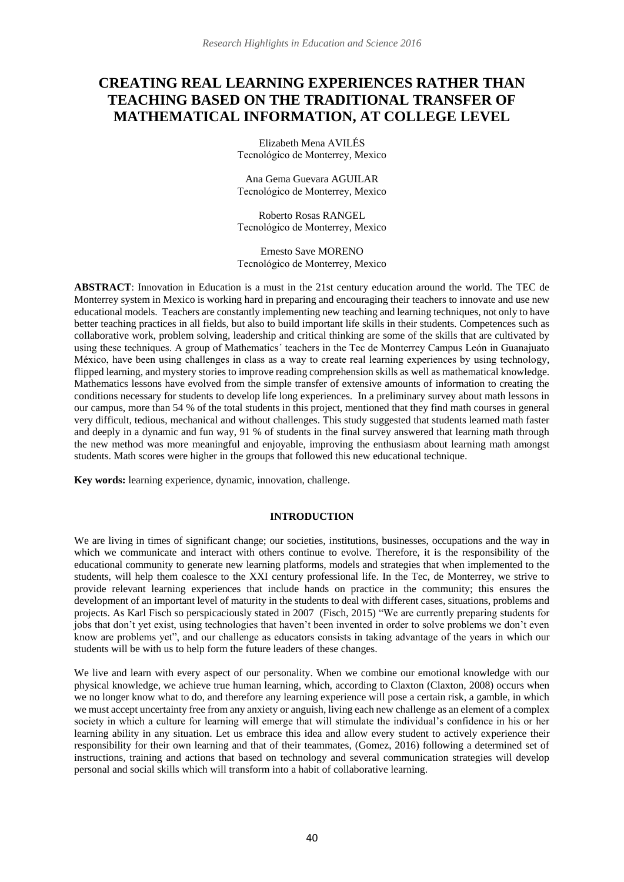# **CREATING REAL LEARNING EXPERIENCES RATHER THAN TEACHING BASED ON THE TRADITIONAL TRANSFER OF MATHEMATICAL INFORMATION, AT COLLEGE LEVEL**

Elizabeth Mena AVILÉS Tecnológico de Monterrey, Mexico

Ana Gema Guevara AGUILAR Tecnológico de Monterrey, Mexico

Roberto Rosas RANGEL Tecnológico de Monterrey, Mexico

Ernesto Save MORENO Tecnológico de Monterrey, Mexico

**ABSTRACT**: Innovation in Education is a must in the 21st century education around the world. The TEC de Monterrey system in Mexico is working hard in preparing and encouraging their teachers to innovate and use new educational models. Teachers are constantly implementing new teaching and learning techniques, not only to have better teaching practices in all fields, but also to build important life skills in their students. Competences such as collaborative work, problem solving, leadership and critical thinking are some of the skills that are cultivated by using these techniques. A group of Mathematics´ teachers in the Tec de Monterrey Campus León in Guanajuato México, have been using challenges in class as a way to create real learning experiences by using technology, flipped learning, and mystery stories to improve reading comprehension skills as well as mathematical knowledge. Mathematics lessons have evolved from the simple transfer of extensive amounts of information to creating the conditions necessary for students to develop life long experiences. In a preliminary survey about math lessons in our campus, more than 54 % of the total students in this project, mentioned that they find math courses in general very difficult, tedious, mechanical and without challenges. This study suggested that students learned math faster and deeply in a dynamic and fun way, 91 % of students in the final survey answered that learning math through the new method was more meaningful and enjoyable, improving the enthusiasm about learning math amongst students. Math scores were higher in the groups that followed this new educational technique.

**Key words:** learning experience, dynamic, innovation, challenge.

## **INTRODUCTION**

We are living in times of significant change; our societies, institutions, businesses, occupations and the way in which we communicate and interact with others continue to evolve. Therefore, it is the responsibility of the educational community to generate new learning platforms, models and strategies that when implemented to the students, will help them coalesce to the XXI century professional life. In the Tec, de Monterrey, we strive to provide relevant learning experiences that include hands on practice in the community; this ensures the development of an important level of maturity in the students to deal with different cases, situations, problems and projects. As Karl Fisch so perspicaciously stated in 2007 (Fisch, 2015) "We are currently preparing students for jobs that don't yet exist, using technologies that haven't been invented in order to solve problems we don't even know are problems yet", and our challenge as educators consists in taking advantage of the years in which our students will be with us to help form the future leaders of these changes.

We live and learn with every aspect of our personality. When we combine our emotional knowledge with our physical knowledge, we achieve true human learning, which, according to Claxton (Claxton, 2008) occurs when we no longer know what to do, and therefore any learning experience will pose a certain risk, a gamble, in which we must accept uncertainty free from any anxiety or anguish, living each new challenge as an element of a complex society in which a culture for learning will emerge that will stimulate the individual's confidence in his or her learning ability in any situation. Let us embrace this idea and allow every student to actively experience their responsibility for their own learning and that of their teammates, (Gomez, 2016) following a determined set of instructions, training and actions that based on technology and several communication strategies will develop personal and social skills which will transform into a habit of collaborative learning.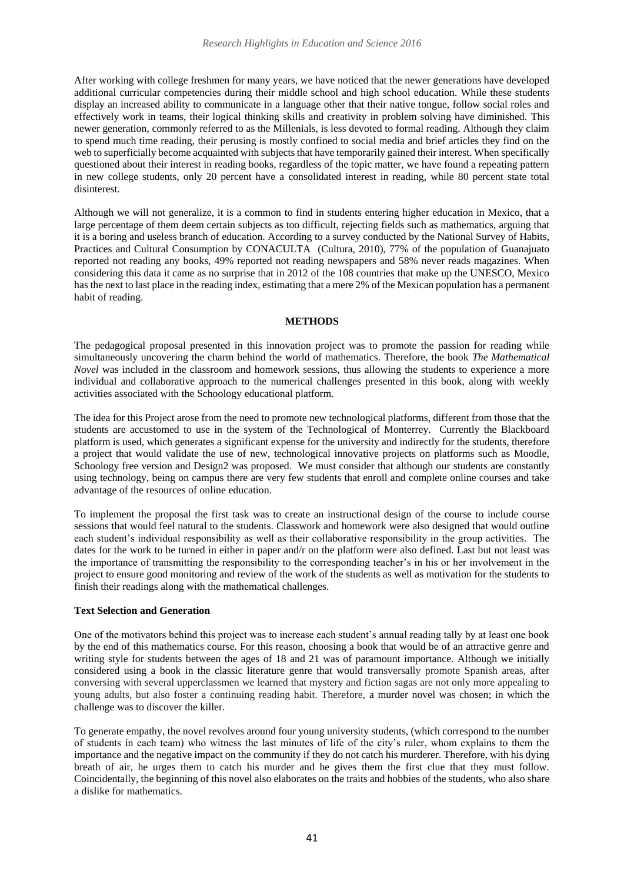After working with college freshmen for many years, we have noticed that the newer generations have developed additional curricular competencies during their middle school and high school education. While these students display an increased ability to communicate in a language other that their native tongue, follow social roles and effectively work in teams, their logical thinking skills and creativity in problem solving have diminished. This newer generation, commonly referred to as the Millenials, is less devoted to formal reading. Although they claim to spend much time reading, their perusing is mostly confined to social media and brief articles they find on the web to superficially become acquainted with subjects that have temporarily gained their interest. When specifically questioned about their interest in reading books, regardless of the topic matter, we have found a repeating pattern in new college students, only 20 percent have a consolidated interest in reading, while 80 percent state total disinterest.

Although we will not generalize, it is a common to find in students entering higher education in Mexico, that a large percentage of them deem certain subjects as too difficult, rejecting fields such as mathematics, arguing that it is a boring and useless branch of education. According to a survey conducted by the National Survey of Habits, Practices and Cultural Consumption by CONACULTA (Cultura, 2010), 77% of the population of Guanajuato reported not reading any books, 49% reported not reading newspapers and 58% never reads magazines. When considering this data it came as no surprise that in 2012 of the 108 countries that make up the UNESCO, Mexico has the next to last place in the reading index, estimating that a mere 2% of the Mexican population has a permanent habit of reading.

#### **METHODS**

The pedagogical proposal presented in this innovation project was to promote the passion for reading while simultaneously uncovering the charm behind the world of mathematics. Therefore, the book *The Mathematical Novel* was included in the classroom and homework sessions, thus allowing the students to experience a more individual and collaborative approach to the numerical challenges presented in this book, along with weekly activities associated with the Schoology educational platform.

The idea for this Project arose from the need to promote new technological platforms, different from those that the students are accustomed to use in the system of the Technological of Monterrey. Currently the Blackboard platform is used, which generates a significant expense for the university and indirectly for the students, therefore a project that would validate the use of new, technological innovative projects on platforms such as Moodle, Schoology free version and Design2 was proposed. We must consider that although our students are constantly using technology, being on campus there are very few students that enroll and complete online courses and take advantage of the resources of online education.

To implement the proposal the first task was to create an instructional design of the course to include course sessions that would feel natural to the students. Classwork and homework were also designed that would outline each student's individual responsibility as well as their collaborative responsibility in the group activities. The dates for the work to be turned in either in paper and/r on the platform were also defined. Last but not least was the importance of transmitting the responsibility to the corresponding teacher's in his or her involvement in the project to ensure good monitoring and review of the work of the students as well as motivation for the students to finish their readings along with the mathematical challenges.

#### **Text Selection and Generation**

One of the motivators behind this project was to increase each student's annual reading tally by at least one book by the end of this mathematics course. For this reason, choosing a book that would be of an attractive genre and writing style for students between the ages of 18 and 21 was of paramount importance. Although we initially considered using a book in the classic literature genre that would transversally promote Spanish areas, after conversing with several upperclassmen we learned that mystery and fiction sagas are not only more appealing to young adults, but also foster a continuing reading habit. Therefore, a murder novel was chosen; in which the challenge was to discover the killer.

To generate empathy, the novel revolves around four young university students, (which correspond to the number of students in each team) who witness the last minutes of life of the city's ruler, whom explains to them the importance and the negative impact on the community if they do not catch his murderer. Therefore, with his dying breath of air, he urges them to catch his murder and he gives them the first clue that they must follow. Coincidentally, the beginning of this novel also elaborates on the traits and hobbies of the students, who also share a dislike for mathematics.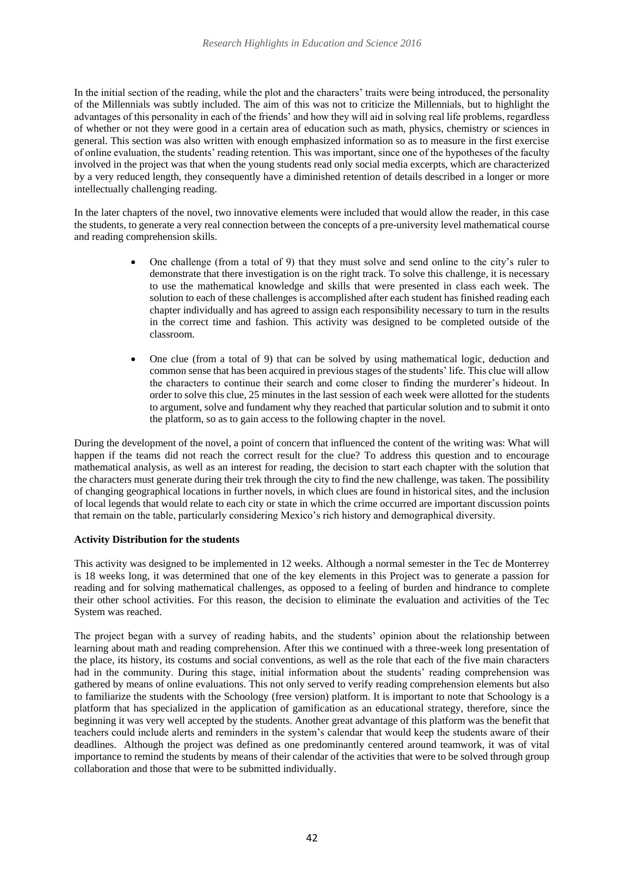In the initial section of the reading, while the plot and the characters' traits were being introduced, the personality of the Millennials was subtly included. The aim of this was not to criticize the Millennials, but to highlight the advantages of this personality in each of the friends' and how they will aid in solving real life problems, regardless of whether or not they were good in a certain area of education such as math, physics, chemistry or sciences in general. This section was also written with enough emphasized information so as to measure in the first exercise of online evaluation, the students' reading retention. This was important, since one of the hypotheses of the faculty involved in the project was that when the young students read only social media excerpts, which are characterized by a very reduced length, they consequently have a diminished retention of details described in a longer or more intellectually challenging reading.

In the later chapters of the novel, two innovative elements were included that would allow the reader, in this case the students, to generate a very real connection between the concepts of a pre-university level mathematical course and reading comprehension skills.

- One challenge (from a total of 9) that they must solve and send online to the city's ruler to demonstrate that there investigation is on the right track. To solve this challenge, it is necessary to use the mathematical knowledge and skills that were presented in class each week. The solution to each of these challenges is accomplished after each student has finished reading each chapter individually and has agreed to assign each responsibility necessary to turn in the results in the correct time and fashion. This activity was designed to be completed outside of the classroom.
- One clue (from a total of 9) that can be solved by using mathematical logic, deduction and common sense that has been acquired in previous stages of the students' life. This clue will allow the characters to continue their search and come closer to finding the murderer's hideout. In order to solve this clue, 25 minutes in the last session of each week were allotted for the students to argument, solve and fundament why they reached that particular solution and to submit it onto the platform, so as to gain access to the following chapter in the novel.

During the development of the novel, a point of concern that influenced the content of the writing was: What will happen if the teams did not reach the correct result for the clue? To address this question and to encourage mathematical analysis, as well as an interest for reading, the decision to start each chapter with the solution that the characters must generate during their trek through the city to find the new challenge, was taken. The possibility of changing geographical locations in further novels, in which clues are found in historical sites, and the inclusion of local legends that would relate to each city or state in which the crime occurred are important discussion points that remain on the table, particularly considering Mexico's rich history and demographical diversity.

# **Activity Distribution for the students**

This activity was designed to be implemented in 12 weeks. Although a normal semester in the Tec de Monterrey is 18 weeks long, it was determined that one of the key elements in this Project was to generate a passion for reading and for solving mathematical challenges, as opposed to a feeling of burden and hindrance to complete their other school activities. For this reason, the decision to eliminate the evaluation and activities of the Tec System was reached.

The project began with a survey of reading habits, and the students' opinion about the relationship between learning about math and reading comprehension. After this we continued with a three-week long presentation of the place, its history, its costums and social conventions, as well as the role that each of the five main characters had in the community. During this stage, initial information about the students' reading comprehension was gathered by means of online evaluations. This not only served to verify reading comprehension elements but also to familiarize the students with the Schoology (free version) platform. It is important to note that Schoology is a platform that has specialized in the application of gamification as an educational strategy, therefore, since the beginning it was very well accepted by the students. Another great advantage of this platform was the benefit that teachers could include alerts and reminders in the system's calendar that would keep the students aware of their deadlines. Although the project was defined as one predominantly centered around teamwork, it was of vital importance to remind the students by means of their calendar of the activities that were to be solved through group collaboration and those that were to be submitted individually.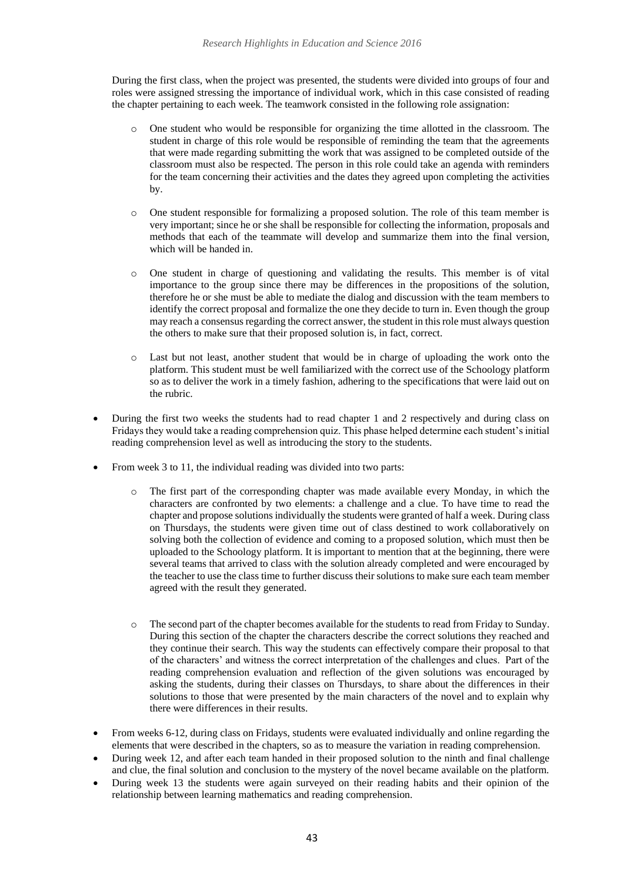During the first class, when the project was presented, the students were divided into groups of four and roles were assigned stressing the importance of individual work, which in this case consisted of reading the chapter pertaining to each week. The teamwork consisted in the following role assignation:

- o One student who would be responsible for organizing the time allotted in the classroom. The student in charge of this role would be responsible of reminding the team that the agreements that were made regarding submitting the work that was assigned to be completed outside of the classroom must also be respected. The person in this role could take an agenda with reminders for the team concerning their activities and the dates they agreed upon completing the activities by.
- o One student responsible for formalizing a proposed solution. The role of this team member is very important; since he or she shall be responsible for collecting the information, proposals and methods that each of the teammate will develop and summarize them into the final version, which will be handed in.
- One student in charge of questioning and validating the results. This member is of vital importance to the group since there may be differences in the propositions of the solution, therefore he or she must be able to mediate the dialog and discussion with the team members to identify the correct proposal and formalize the one they decide to turn in. Even though the group may reach a consensus regarding the correct answer, the student in this role must always question the others to make sure that their proposed solution is, in fact, correct.
- o Last but not least, another student that would be in charge of uploading the work onto the platform. This student must be well familiarized with the correct use of the Schoology platform so as to deliver the work in a timely fashion, adhering to the specifications that were laid out on the rubric.
- During the first two weeks the students had to read chapter 1 and 2 respectively and during class on Fridays they would take a reading comprehension quiz. This phase helped determine each student's initial reading comprehension level as well as introducing the story to the students.
- From week 3 to 11, the individual reading was divided into two parts:
	- o The first part of the corresponding chapter was made available every Monday, in which the characters are confronted by two elements: a challenge and a clue. To have time to read the chapter and propose solutions individually the students were granted of half a week. During class on Thursdays, the students were given time out of class destined to work collaboratively on solving both the collection of evidence and coming to a proposed solution, which must then be uploaded to the Schoology platform. It is important to mention that at the beginning, there were several teams that arrived to class with the solution already completed and were encouraged by the teacher to use the class time to further discuss their solutions to make sure each team member agreed with the result they generated.
	- o The second part of the chapter becomes available for the students to read from Friday to Sunday. During this section of the chapter the characters describe the correct solutions they reached and they continue their search. This way the students can effectively compare their proposal to that of the characters' and witness the correct interpretation of the challenges and clues. Part of the reading comprehension evaluation and reflection of the given solutions was encouraged by asking the students, during their classes on Thursdays, to share about the differences in their solutions to those that were presented by the main characters of the novel and to explain why there were differences in their results.
- From weeks 6-12, during class on Fridays, students were evaluated individually and online regarding the elements that were described in the chapters, so as to measure the variation in reading comprehension.
- During week 12, and after each team handed in their proposed solution to the ninth and final challenge and clue, the final solution and conclusion to the mystery of the novel became available on the platform.
- During week 13 the students were again surveyed on their reading habits and their opinion of the relationship between learning mathematics and reading comprehension.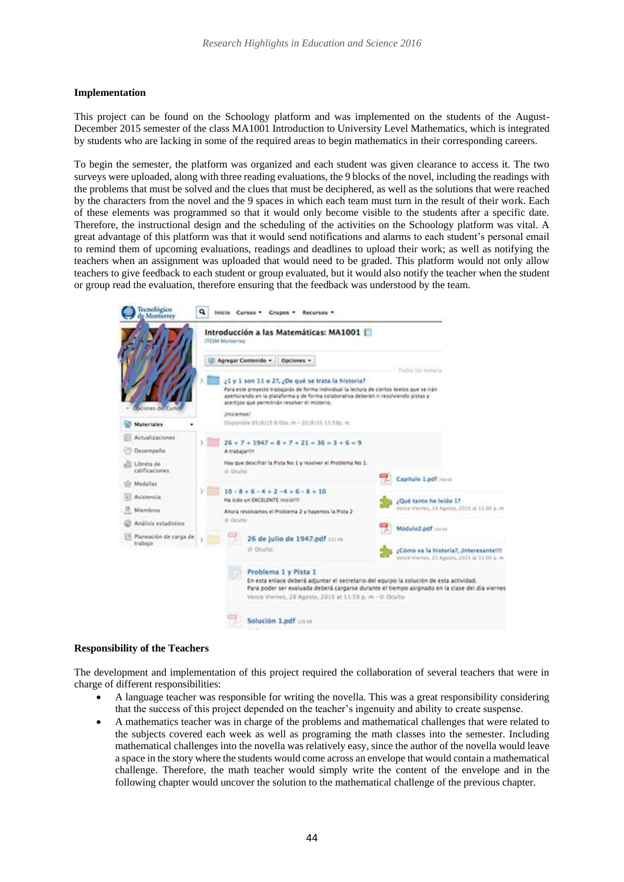## **Implementation**

This project can be found on the Schoology platform and was implemented on the students of the August-December 2015 semester of the class MA1001 Introduction to University Level Mathematics, which is integrated by students who are lacking in some of the required areas to begin mathematics in their corresponding careers.

To begin the semester, the platform was organized and each student was given clearance to access it. The two surveys were uploaded, along with three reading evaluations, the 9 blocks of the novel, including the readings with the problems that must be solved and the clues that must be deciphered, as well as the solutions that were reached by the characters from the novel and the 9 spaces in which each team must turn in the result of their work. Each of these elements was programmed so that it would only become visible to the students after a specific date. Therefore, the instructional design and the scheduling of the activities on the Schoology platform was vital. A great advantage of this platform was that it would send notifications and alarms to each student's personal email to remind them of upcoming evaluations, readings and deadlines to upload their work; as well as notifying the teachers when an assignment was uploaded that would need to be graded. This platform would not only allow teachers to give feedback to each student or group evaluated, but it would also notify the teacher when the student or group read the evaluation, therefore ensuring that the feedback was understood by the team.

| Tecnológico<br>e Monterrey                      | ۹  |                                                                  |                                                                                                                                                                           | Inicio Cursos - Grupos - Recursos -                          |                                                                                                                                                                                                                                         |                                                                                                |                                              |
|-------------------------------------------------|----|------------------------------------------------------------------|---------------------------------------------------------------------------------------------------------------------------------------------------------------------------|--------------------------------------------------------------|-----------------------------------------------------------------------------------------------------------------------------------------------------------------------------------------------------------------------------------------|------------------------------------------------------------------------------------------------|----------------------------------------------|
| ciones del Curt                                 |    | Introducción a las Matemáticas: MA1001<br><b>ITESM Monterney</b> |                                                                                                                                                                           |                                                              |                                                                                                                                                                                                                                         |                                                                                                |                                              |
|                                                 |    | Agregar Contenido +<br><b>JAIGEMOUT</b>                          |                                                                                                                                                                           | Opciones »<br>acertijos que permitirán resolver el misterio. | ¿1 y 1 son 11 o 27, ¿De qué se trata la historia?<br>Para este provecto trabajarás de forma individual la lectura de ciertos textos que se irán<br>aperturando en la plataforma y de forma colaborativa deberán ir resolviendo pistas y |                                                                                                | IS TOO IMARKS                                |
| <b>Materiales</b>                               |    |                                                                  |                                                                                                                                                                           | Disponible 03/8/15 6:00a. m - 22/8/15 11:59p. m              |                                                                                                                                                                                                                                         |                                                                                                |                                              |
| Actualizaciones                                 |    |                                                                  |                                                                                                                                                                           | $26 + 7 + 1947 = 8 + 7 + 21 = 36 = 3 + 6 = 9$                |                                                                                                                                                                                                                                         |                                                                                                |                                              |
| Desempeño                                       |    | A trabajarm                                                      |                                                                                                                                                                           |                                                              |                                                                                                                                                                                                                                         |                                                                                                |                                              |
| Libreta de<br>calificaciones                    |    |                                                                  | Hay que descifrar la Pista No 1 y resolver el Problema No 1.<br>@ Ocults                                                                                                  |                                                              |                                                                                                                                                                                                                                         |                                                                                                | Capitulo Lodf mini                           |
| Medallas                                        | y. |                                                                  |                                                                                                                                                                           | $10 - 8 + 6 - 4 + 2 - 4 + 6 - 8 + 10$                        |                                                                                                                                                                                                                                         |                                                                                                |                                              |
| Asistencia                                      |    |                                                                  | Ha sido un EXCELENTE inicio?!!!<br>Ahora resolvamos el Problema 2 y hayemos la Pista 2<br>iti Oculto                                                                      |                                                              |                                                                                                                                                                                                                                         |                                                                                                | ¿Qué tanto he leido 17                       |
| Miembras                                        |    |                                                                  |                                                                                                                                                                           |                                                              |                                                                                                                                                                                                                                         |                                                                                                | Vence Viernes, 14 Agosto, 2015 at 11:00 a. = |
| Análisis estadístico                            |    |                                                                  |                                                                                                                                                                           |                                                              |                                                                                                                                                                                                                                         |                                                                                                | miss 1bg.SoluboM                             |
| <sup>18</sup> Planeación de carga de<br>trabalo |    |                                                                  | 26 de julio de 1947.pdf 21110<br>@ Oculto                                                                                                                                 |                                                              |                                                                                                                                                                                                                                         | ¿Cómo va la historia?, ¿Interesante!!!!<br>Vence Viernes, 21 Agosto, 2015 at 11:00 a.m.        |                                              |
|                                                 |    |                                                                  | Problema 1 y Pista 1<br>En esta enlace deberá adjuntar el secretario del equipo la solución de esta actividad.<br>Vence Viernes, 28 Agosto, 2015 at 11:59 p. m - @ Oculto |                                                              |                                                                                                                                                                                                                                         | Para poder ser evaluada deberá cargarse durante el tiempo asignado en la clase del día vierner |                                              |
|                                                 |    |                                                                  |                                                                                                                                                                           | Solución 1.pdf 126 (a                                        |                                                                                                                                                                                                                                         |                                                                                                |                                              |

#### **Responsibility of the Teachers**

The development and implementation of this project required the collaboration of several teachers that were in charge of different responsibilities:

- A language teacher was responsible for writing the novella. This was a great responsibility considering that the success of this project depended on the teacher's ingenuity and ability to create suspense.
- A mathematics teacher was in charge of the problems and mathematical challenges that were related to the subjects covered each week as well as programing the math classes into the semester. Including mathematical challenges into the novella was relatively easy, since the author of the novella would leave a space in the story where the students would come across an envelope that would contain a mathematical challenge. Therefore, the math teacher would simply write the content of the envelope and in the following chapter would uncover the solution to the mathematical challenge of the previous chapter.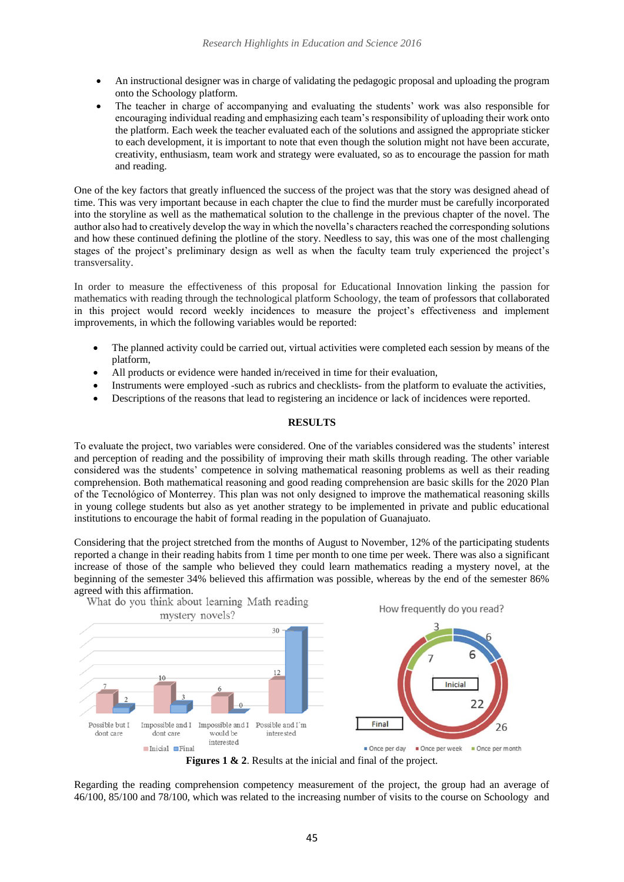- An instructional designer was in charge of validating the pedagogic proposal and uploading the program onto the Schoology platform.
- The teacher in charge of accompanying and evaluating the students' work was also responsible for encouraging individual reading and emphasizing each team's responsibility of uploading their work onto the platform. Each week the teacher evaluated each of the solutions and assigned the appropriate sticker to each development, it is important to note that even though the solution might not have been accurate, creativity, enthusiasm, team work and strategy were evaluated, so as to encourage the passion for math and reading.

One of the key factors that greatly influenced the success of the project was that the story was designed ahead of time. This was very important because in each chapter the clue to find the murder must be carefully incorporated into the storyline as well as the mathematical solution to the challenge in the previous chapter of the novel. The author also had to creatively develop the way in which the novella's characters reached the corresponding solutions and how these continued defining the plotline of the story. Needless to say, this was one of the most challenging stages of the project's preliminary design as well as when the faculty team truly experienced the project's transversality.

In order to measure the effectiveness of this proposal for Educational Innovation linking the passion for mathematics with reading through the technological platform Schoology, the team of professors that collaborated in this project would record weekly incidences to measure the project's effectiveness and implement improvements, in which the following variables would be reported:

- The planned activity could be carried out, virtual activities were completed each session by means of the platform,
- All products or evidence were handed in/received in time for their evaluation,
- Instruments were employed -such as rubrics and checklists- from the platform to evaluate the activities,
- Descriptions of the reasons that lead to registering an incidence or lack of incidences were reported.

# **RESULTS**

To evaluate the project, two variables were considered. One of the variables considered was the students' interest and perception of reading and the possibility of improving their math skills through reading. The other variable considered was the students' competence in solving mathematical reasoning problems as well as their reading comprehension. Both mathematical reasoning and good reading comprehension are basic skills for the 2020 Plan of the Tecnológico of Monterrey. This plan was not only designed to improve the mathematical reasoning skills in young college students but also as yet another strategy to be implemented in private and public educational institutions to encourage the habit of formal reading in the population of Guanajuato.

Considering that the project stretched from the months of August to November, 12% of the participating students reported a change in their reading habits from 1 time per month to one time per week. There was also a significant increase of those of the sample who believed they could learn mathematics reading a mystery novel, at the beginning of the semester 34% believed this affirmation was possible, whereas by the end of the semester 86%



**Figures 1 & 2**. Results at the inicial and final of the project.

Regarding the reading comprehension competency measurement of the project, the group had an average of 46/100, 85/100 and 78/100, which was related to the increasing number of visits to the course on Schoology and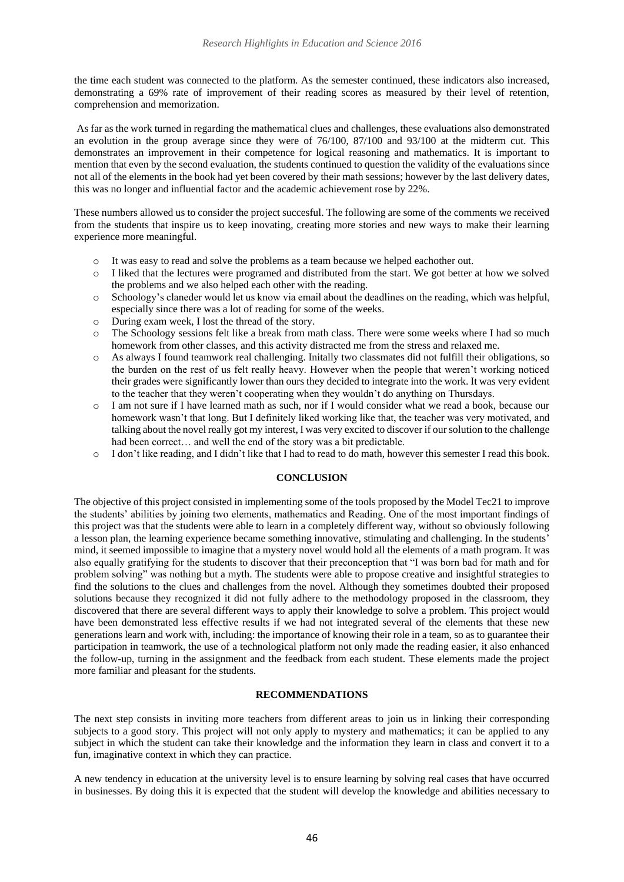the time each student was connected to the platform. As the semester continued, these indicators also increased, demonstrating a 69% rate of improvement of their reading scores as measured by their level of retention, comprehension and memorization.

As far as the work turned in regarding the mathematical clues and challenges, these evaluations also demonstrated an evolution in the group average since they were of 76/100, 87/100 and 93/100 at the midterm cut. This demonstrates an improvement in their competence for logical reasoning and mathematics. It is important to mention that even by the second evaluation, the students continued to question the validity of the evaluations since not all of the elements in the book had yet been covered by their math sessions; however by the last delivery dates, this was no longer and influential factor and the academic achievement rose by 22%.

These numbers allowed us to consider the project succesful. The following are some of the comments we received from the students that inspire us to keep inovating, creating more stories and new ways to make their learning experience more meaningful.

- o It was easy to read and solve the problems as a team because we helped eachother out.
- o I liked that the lectures were programed and distributed from the start. We got better at how we solved the problems and we also helped each other with the reading.
- o Schoology's claneder would let us know via email about the deadlines on the reading, which was helpful, especially since there was a lot of reading for some of the weeks.
- o During exam week, I lost the thread of the story.
- o The Schoology sessions felt like a break from math class. There were some weeks where I had so much homework from other classes, and this activity distracted me from the stress and relaxed me.
- o As always I found teamwork real challenging. Initally two classmates did not fulfill their obligations, so the burden on the rest of us felt really heavy. However when the people that weren't working noticed their grades were significantly lower than ours they decided to integrate into the work. It was very evident to the teacher that they weren't cooperating when they wouldn't do anything on Thursdays.
- I am not sure if I have learned math as such, nor if I would consider what we read a book, because our homework wasn't that long. But I definitely liked working like that, the teacher was very motivated, and talking about the novel really got my interest, I was very excited to discover if our solution to the challenge had been correct… and well the end of the story was a bit predictable.
- o I don't like reading, and I didn't like that I had to read to do math, however this semester I read this book.

# **CONCLUSION**

The objective of this project consisted in implementing some of the tools proposed by the Model Tec21 to improve the students' abilities by joining two elements, mathematics and Reading. One of the most important findings of this project was that the students were able to learn in a completely different way, without so obviously following a lesson plan, the learning experience became something innovative, stimulating and challenging. In the students' mind, it seemed impossible to imagine that a mystery novel would hold all the elements of a math program. It was also equally gratifying for the students to discover that their preconception that "I was born bad for math and for problem solving" was nothing but a myth. The students were able to propose creative and insightful strategies to find the solutions to the clues and challenges from the novel. Although they sometimes doubted their proposed solutions because they recognized it did not fully adhere to the methodology proposed in the classroom, they discovered that there are several different ways to apply their knowledge to solve a problem. This project would have been demonstrated less effective results if we had not integrated several of the elements that these new generations learn and work with, including: the importance of knowing their role in a team, so as to guarantee their participation in teamwork, the use of a technological platform not only made the reading easier, it also enhanced the follow-up, turning in the assignment and the feedback from each student. These elements made the project more familiar and pleasant for the students.

# **RECOMMENDATIONS**

The next step consists in inviting more teachers from different areas to join us in linking their corresponding subjects to a good story. This project will not only apply to mystery and mathematics; it can be applied to any subject in which the student can take their knowledge and the information they learn in class and convert it to a fun, imaginative context in which they can practice.

A new tendency in education at the university level is to ensure learning by solving real cases that have occurred in businesses. By doing this it is expected that the student will develop the knowledge and abilities necessary to